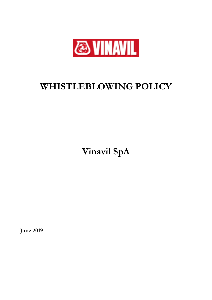

# **WHISTLEBLOWING POLICY**

**Vinavil SpA**

**June 2019**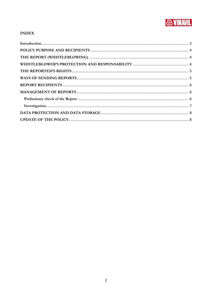

# **INDEX**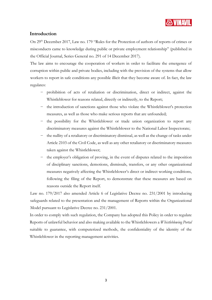

#### <span id="page-2-0"></span>**Introduction**

On 29<sup>th</sup> December 2017, Law no. 179 "Rules for the Protection of authors of reports of crimes or misconducts came to knowledge during public or private employment relationship" (published in the Official Journal, Series General no. 291 of 14 December 2017).

The law aims to encourage the cooperation of workers in order to facilitate the emergence of corruption within public and private bodies, including with the prevision of the systems that allow workers to report in safe conditions any possible illicit that they become aware of. In fact, the law regulates:

- − prohibition of acts of retaliation or discrimination, direct or indirect, against the Whistleblower for reasons related, directly or indirectly, to the Report;
- − the introduction of sanctions against those who violate the Whistleblower's protection measures, as well as those who make serious reports that are unfounded;
- − the possibility for the Whistleblower or trade union organization to report any discriminatory measures against the Whistleblower to the National Labor Inspectorate;
- − the nullity of a retaliatory or discriminatory dismissal, as well as the change of tasks under Article 2103 of the Civil Code, as well as any other retaliatory or discriminatory measures taken against the Whistleblower;
- − the employer's obligation of proving, in the event of disputes related to the imposition of disciplinary sanctions, demotions, dismissals, transfers, or any other organizational measures negatively affecting the Whistleblower's direct or indirect working conditions, following the filing of the Report, to demonstrate that these measures are based on reasons outside the Report itself.

Law no. 179/2017 also amended Article 6 of Legislative Decree no. 231/2001 by introducing safeguards related to the presentation and the management of Reports within the Organizational Model pursuant to Legislative Decree no. 231/2001.

In order to comply with such regulation, the Company has adopted this Policy in order to regulate Reports of unlawful behavior and also making available to the Whistleblowers a *Whistleblowing Portal* suitable to guarantee, with computerized methods, the confidentiality of the identity of the Whistleblower in the reporting management activities.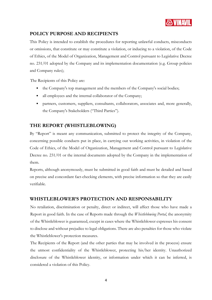

## <span id="page-3-0"></span>**POLICY PURPOSE AND RECIPIENTS**

This Policy is intended to establish the procedures for reporting unlawful conducts, misconducts or omissions, that constitute or may constitute a violation, or inducing to a violation, of the Code of Ethics, of the Model of Organization, Management and Control pursuant to Legislative Decree no. 231/01 adopted by the Company and its implementation documentation (e.g. Group policies and Company rules);

The Recipients of this Policy are:

- the Company's top management and the members of the Company's social bodies;
- all employees and the internal collaborator of the Company;
- partners, customers, suppliers, consultants, collaborators, associates and, more generally, the Company's Stakeholders ("Third Parties").

## <span id="page-3-1"></span>**THE REPORT (WHISTLEBLOWING)**

By "Report" is meant any communication, submitted to protect the integrity of the Company, concerning possible conducts put in place, in carrying out working activities, in violation of the Code of Ethics, of the Model of Organization, Management and Control pursuant to Legislative Decree no. 231/01 or the internal documents adopted by the Company in the implementation of them.

Reports, although anonymously, must be submitted in good faith and must be detailed and based on precise and concordant fact-checking elements, with precise information so that they are easily verifiable.

#### <span id="page-3-2"></span>**WHISTLEBLOWER'S PROTECTION AND RESPONSABILITY**

No retaliation, discrimination or penalty, direct or indirect, will affect those who have made a Report in good faith. In the case of Reports made through the *Whistleblowing Portal*, the anonymity of the Whistleblower is guaranteed, except in cases where the Whistleblower expresses his consent to disclose and without prejudice to legal obligations. There are also penalties for those who violate the Whistleblower's protection measures.

The Recipients of the Report (and the other parties that may be involved in the process) ensure the utmost confidentiality of the Whistleblower, protecting his/her identity. Unauthorized disclosure of the Whistleblower identity, or information under which it can be inferred, is considered a violation of this Policy.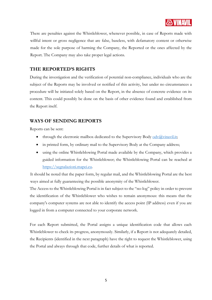

There are penalties against the Whistleblower, whenever possible, in case of Reports made with willful intent or gross negligence that are false, baseless, with defamatory content or otherwise made for the sole purpose of harming the Company, the Reported or the ones affected by the Report. The Company may also take proper legal actions.

#### <span id="page-4-0"></span>**THE REPORTED'S RIGHTS**

During the investigation and the verification of potential non-compliance, individuals who are the subject of the Reports may be involved or notified of this activity, but under no circumstances a procedure will be initiated solely based on the Report, in the absence of concrete evidence on its content. This could possibly be done on the basis of other evidence found and established from the Report itself.

#### <span id="page-4-1"></span>**WAYS OF SENDING REPORTS**

Reports can be sent:

- through the electronic mailbox dedicated to the Supervisory Body [odv@vinavil.it;](mailto:odv@vinavil.it)
- in printed form, by ordinary mail to the Supervisory Body at the Company address;
- using the online Whistleblowing Portal made available by the Company, which provides a guided information for the Whistleblower; the Whistleblowing Portal can be reached at [https://segnalazioni.mapei.eu.](https://segnalazioni.mapei.eu/)

It should be noted that the paper form, by regular mail, and the Whistleblowing Portal are the best ways aimed at fully guaranteeing the possible anonymity of the Whistleblower.

The Access to the Whistleblowing Portal is in fact subject to the "no-log" policy in order to prevent the identification of the Whistleblower who wishes to remain anonymous: this means that the company's computer systems are not able to identify the access point (IP address) even if you are logged in from a computer connected to your corporate network.

For each Report submitted, the Portal assigns a unique identification code that allows each Whistleblower to check its progress, anonymously. Similarly, if a Report is not adequately detailed, the Recipients (identified in the next paragraph) have the right to request the Whistleblower, using the Portal and always through that code, further details of what is reported.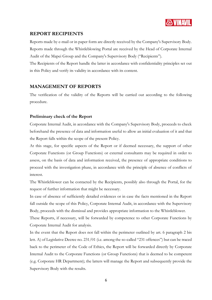

#### <span id="page-5-0"></span>**REPORT RECIPIENTS**

Reports made by e-mail or in paper form are directly received by the Company's Supervisory Body. Reports made through the Whistleblowing Portal are received by the Head of Corporate Internal Audit of the Mapei Group and the Company's Supervisory Body ("Recipients").

The Recipients of the Report handle the latter in accordance with confidentiality principles set out in this Policy and verify its validity in accordance with its content.

#### <span id="page-5-1"></span>**MANAGEMENT OF REPORTS**

The verification of the validity of the Reports will be carried out according to the following procedure.

#### <span id="page-5-2"></span>**Preliminary check of the Report**

Corporate Internal Audit, in accordance with the Company's Supervisory Body, proceeds to check beforehand the presence of data and information useful to allow an initial evaluation of it and that the Report falls within the scope of the present Policy.

At this stage, for specific aspects of the Report or if deemed necessary, the support of other Corporate Functions (or Group Functions) or external consultants may be required in order to assess, on the basis of data and information received, the presence of appropriate conditions to proceed with the investigation phase, in accordance with the principle of absence of conflicts of interest.

The Whistleblower can be contacted by the Recipients, possibly also through the Portal, for the request of further information that might be necessary.

In case of absence of sufficiently detailed evidences or in case the facts mentioned in the Report fall outside the scope of this Policy, Corporate Internal Audit, in accordance with the Supervisory Body, proceeds with the dismissal and provides appropriate information to the Whistleblower.

These Reports, if necessary, will be forwarded by competence to other Corporate Functions by Corporate Internal Audit for analysis.

In the event that the Report does not fall within the perimeter outlined by art. 6 paragraph 2 bis lett. A) of Legislative Decree no. 231/01 (i.e. among the so-called "231 offences") but can be traced back to the perimeter of the Code of Ethics, the Report will be forwarded directly by Corporate Internal Audit to the Corporate Functions (or Group Functions) that is deemed to be competent (e.g. Corporate HR Department); the latters will manage the Report and subsequently provide the Supervisory Body with the results.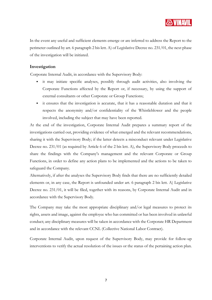

In the event any useful and sufficient elements emerge or are inferred to address the Report to the perimeter outlined by art. 6 paragraph 2 bis lett. A) of Legislative Decree no. 231/01, the next phase of the investigation will be initiated.

#### <span id="page-6-0"></span>**Investigation**

Corporate Internal Audit, in accordance with the Supervisory Body:

- it may initiate specific analyses, possibly through audit activities, also involving the Corporate Functions affected by the Report or, if necessary, by using the support of external consultants or other Corporate or Group Functions;
- it ensures that the investigation is accurate, that it has a reasonable duration and that it respects the anonymity and/or confidentiality of the Whistleblower and the people involved, including the subject that may have been reported.

At the end of the investigation, Corporate Internal Audit prepares a summary report of the investigations carried out, providing evidence of what emerged and the relevant recommendations, sharing it with the Supervisory Body; if the latter detects a misconduct relevant under Legislative Decree no. 231/01 (as required by Article 6 of the 2 bis lett. A), the Supervisory Body proceeds to share the findings with the Company's management and the relevant Corporate or Group Functions, in order to define any action plans to be implemented and the actions to be taken to safeguard the Company.

Alternatively, if after the analyses the Supervisory Body finds that there are no sufficiently detailed elements or, in any case, the Report is unfounded under art. 6 paragraph 2 bis lett. A) Legislative Decree no. 231/01, it will be filed, together with its reasons, by Corporate Internal Audit and in accordance with the Supervisory Body.

The Company may take the most appropriate disciplinary and/or legal measures to protect its rights, assets and image, against the employee who has committed or has been involved in unlawful conduct; any disciplinary measures will be taken in accordance with the Corporate HR Department and in accordance with the relevant CCNL (Collective National Labor Contract).

Corporate Internal Audit, upon request of the Supervisory Body, may provide for follow-up interventions to verify the actual resolution of the issues or the status of the pertaining action plan.